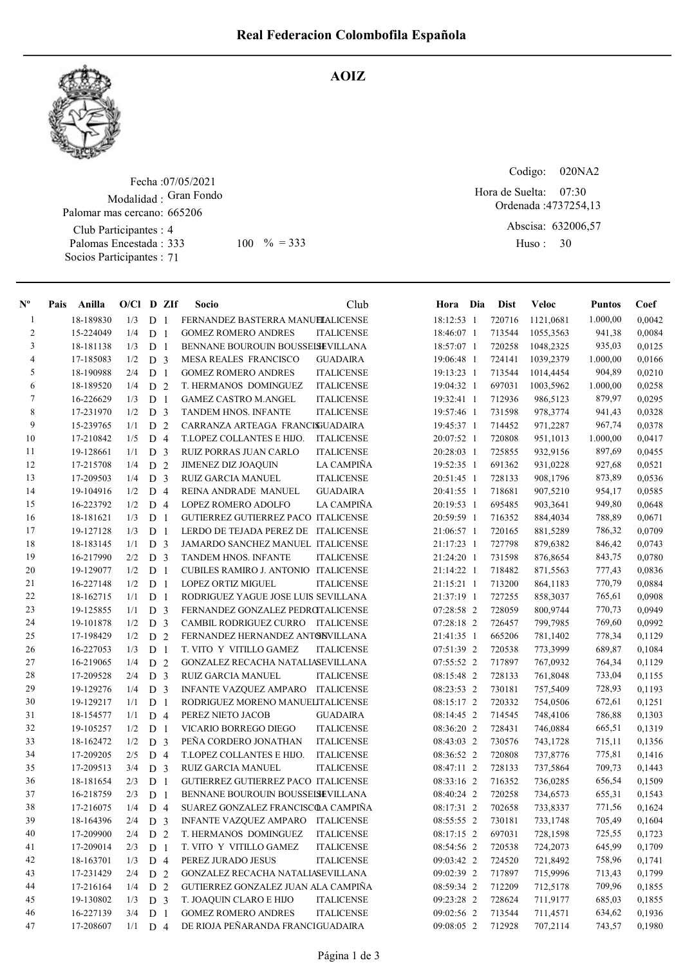

## AOIZ

Fecha : 07/05/2021 Modalidad : Gran Fondo Palomar mas cercano: 665206

Club Participantes : 4 Palomas Encestada : Socios Participantes : 71

Codigo: 020NA2 Ordenada : 4737254,13 Abscisa: 632006,57 Huso: 30 07:30  $100 \, \frac{9}{6} = 333$  Huso: 30 Hora de Suelta:

| $N^{\circ}$    | Pais | Anilla    | $O/Cl$ D ZIf |                |                | Socio                                      | Club              | Hora Dia   | <b>Dist</b> | <b>Veloc</b> | <b>Puntos</b> | Coef   |
|----------------|------|-----------|--------------|----------------|----------------|--------------------------------------------|-------------------|------------|-------------|--------------|---------------|--------|
| 1              |      | 18-189830 | 1/3          | D <sub>1</sub> |                | FERNANDEZ BASTERRA MANUELALICENSE          |                   | 18:12:53 1 | 720716      | 1121,0681    | 1.000,00      | 0,0042 |
| 2              |      | 15-224049 | 1/4          | D <sub>1</sub> |                | <b>GOMEZ ROMERO ANDRES</b>                 | <b>ITALICENSE</b> | 18:46:07 1 | 713544      | 1055,3563    | 941,38        | 0,0084 |
| 3              |      | 18-181138 | 1/3          | D <sub>1</sub> |                | BENNANE BOUROUIN BOUSSEISEVILLANA          |                   | 18:57:07 1 | 720258      | 1048,2325    | 935,03        | 0,0125 |
| $\overline{4}$ |      | 17-185083 | 1/2          | D <sub>3</sub> |                | MESA REALES FRANCISCO                      | GUADAIRA          | 19:06:48 1 | 724141      | 1039,2379    | 1.000,00      | 0,0166 |
| 5              |      | 18-190988 | 2/4          | D              | $\mathbf{1}$   | <b>GOMEZ ROMERO ANDRES</b>                 | <b>ITALICENSE</b> | 19:13:23 1 | 713544      | 1014,4454    | 904,89        | 0,0210 |
| 6              |      | 18-189520 | 1/4          | D              | $\overline{2}$ | T. HERMANOS DOMINGUEZ                      | <b>ITALICENSE</b> | 19:04:32 1 | 697031      | 1003,5962    | 1.000,00      | 0,0258 |
| 7              |      | 16-226629 | 1/3          | D              | -1             | <b>GAMEZ CASTRO M.ANGEL</b>                | <b>ITALICENSE</b> | 19:32:41 1 | 712936      | 986,5123     | 879,97        | 0,0295 |
| 8              |      | 17-231970 | 1/2          | D              | 3              | TANDEM HNOS. INFANTE                       | <b>ITALICENSE</b> | 19:57:46 1 | 731598      | 978,3774     | 941,43        | 0,0328 |
| 9              |      | 15-239765 | 1/1          | D              | 2              | CARRANZA ARTEAGA FRANCISJUADAIRA           |                   | 19:45:37 1 | 714452      | 971,2287     | 967,74        | 0.0378 |
| 10             |      | 17-210842 | 1/5          | D              | $\overline{4}$ | T.LOPEZ COLLANTES E HIJO.                  | <b>ITALICENSE</b> | 20:07:52 1 | 720808      | 951,1013     | 1.000,00      | 0,0417 |
| 11             |      | 19-128661 | 1/1          | D              | 3              | RUIZ PORRAS JUAN CARLO                     | <b>ITALICENSE</b> | 20:28:03 1 | 725855      | 932,9156     | 897,69        | 0,0455 |
| 12             |      | 17-215708 | 1/4          | D              | $\overline{2}$ | JIMENEZ DIZ JOAQUIN                        | LA CAMPIÑA        | 19:52:35 1 | 691362      | 931,0228     | 927,68        | 0,0521 |
| 13             |      | 17-209503 | 1/4          | D              | 3              | <b>RUIZ GARCIA MANUEL</b>                  | <b>ITALICENSE</b> | 20:51:45 1 | 728133      | 908,1796     | 873,89        | 0,0536 |
| 14             |      | 19-104916 | 1/2          | D              | $\overline{4}$ | REINA ANDRADE MANUEL                       | <b>GUADAIRA</b>   | 20:41:55 1 | 718681      | 907,5210     | 954,17        | 0,0585 |
| 15             |      | 16-223792 | 1/2          | D              | $\overline{4}$ | LOPEZ ROMERO ADOLFO                        | <b>LA CAMPIÑA</b> | 20:19:53 1 | 695485      | 903,3641     | 949,80        | 0,0648 |
| 16             |      | 18-181621 | 1/3          | D              | -1             | GUTIERREZ GUTIERREZ PACO ITALICENSE        |                   | 20:59:59 1 | 716352      | 884,4034     | 788,89        | 0,0671 |
| 17             |      | 19-127128 | 1/3          | D              | $\mathbf{1}$   | LERDO DE TEJADA PEREZ DE ITALICENSE        |                   | 21:06:57 1 | 720165      | 881,5289     | 786,32        | 0,0709 |
| 18             |      | 18-183145 | 1/1          | D              | 3              | JAMARDO SANCHEZ MANUEL ITALICENSE          |                   | 21:17:23 1 | 727798      | 879,6382     | 846,42        | 0,0743 |
| 19             |      | 16-217990 | 2/2          | D              | 3              | <b>TANDEM HNOS. INFANTE</b>                | <b>ITALICENSE</b> | 21:24:20 1 | 731598      | 876,8654     | 843,75        | 0,0780 |
| 20             |      | 19-129077 | 1/2          | ${\bf D}$      | -1             | CUBILES RAMIRO J. ANTONIO ITALICENSE       |                   | 21:14:22 1 | 718482      | 871,5563     | 777,43        | 0,0836 |
| 21             |      | 16-227148 | 1/2          | D              | -1             | <b>LOPEZ ORTIZ MIGUEL</b>                  | <b>ITALICENSE</b> | 21:15:21 1 | 713200      | 864,1183     | 770,79        | 0,0884 |
| $22\,$         |      | 18-162715 | 1/1          | D              | -1             | RODRIGUEZ YAGUE JOSE LUIS SEVILLANA        |                   | 21:37:19 1 | 727255      | 858,3037     | 765,61        | 0,0908 |
| 23             |      | 19-125855 | 1/1          | D              | 3              | FERNANDEZ GONZALEZ PEDROTALICENSE          |                   | 07:28:58 2 | 728059      | 800,9744     | 770,73        | 0,0949 |
| 24             |      | 19-101878 | 1/2          | D              | 3              | CAMBIL RODRIGUEZ CURRO ITALICENSE          |                   | 07:28:18 2 | 726457      | 799,7985     | 769,60        | 0.0992 |
| 25             |      | 17-198429 | 1/2          | D              | 2              | FERNANDEZ HERNANDEZ ANTONVILLANA           |                   | 21:41:35 1 | 665206      | 781,1402     | 778,34        | 0,1129 |
| 26             |      | 16-227053 | 1/3          | D <sub>1</sub> |                | T. VITO Y VITILLO GAMEZ                    | <b>ITALICENSE</b> | 07:51:39 2 | 720538      | 773,3999     | 689,87        | 0,1084 |
| 27             |      | 16-219065 | 1/4          | D              | $\overline{2}$ | GONZALEZ RECACHA NATALIASEVILLANA          |                   | 07:55:52 2 | 717897      | 767,0932     | 764,34        | 0,1129 |
| $28\,$         |      | 17-209528 | 2/4          | D <sub>3</sub> |                | <b>RUIZ GARCIA MANUEL</b>                  | <b>ITALICENSE</b> | 08:15:48 2 | 728133      | 761,8048     | 733,04        | 0,1155 |
| 29             |      | 19-129276 | 1/4          | D              | 3              | <b>INFANTE VAZQUEZ AMPARO</b>              | <b>ITALICENSE</b> | 08:23:53 2 | 730181      | 757,5409     | 728,93        | 0,1193 |
| $30\,$         |      | 19-129217 | 1/1          | D              | $\mathbf{1}$   | RODRIGUEZ MORENO MANUELITALICENSE          |                   | 08:15:17 2 | 720332      | 754,0506     | 672,61        | 0,1251 |
| 31             |      | 18-154577 | 1/1          | D              | $\overline{4}$ | PEREZ NIETO JACOB                          | <b>GUADAIRA</b>   | 08:14:45 2 | 714545      | 748,4106     | 786,88        | 0,1303 |
| 32             |      | 19-105257 | 1/2          | D              | $\mathbf{1}$   | VICARIO BORREGO DIEGO                      | <b>ITALICENSE</b> | 08:36:20 2 | 728431      | 746,0884     | 665,51        | 0,1319 |
| 33             |      | 18-162472 | 1/2          | D              | 3              | PEÑA CORDERO JONATHAN                      | <b>ITALICENSE</b> | 08:43:03 2 | 730576      | 743,1728     | 715,11        | 0,1356 |
| 34             |      | 17-209205 | 2/5          | D              | $\overline{4}$ | T.LOPEZ COLLANTES E HIJO.                  | <b>ITALICENSE</b> | 08:36:52 2 | 720808      | 737,8776     | 775,81        | 0,1416 |
| 35             |      | 17-209513 | 3/4          | ${\rm D}$      | 3              | RUIZ GARCIA MANUEL                         | <b>ITALICENSE</b> | 08:47:11 2 | 728133      | 737,5864     | 709,73        | 0,1443 |
| 36             |      | 18-181654 | 2/3          | D              | $\overline{1}$ | <b>GUTIERREZ GUTIERREZ PACO ITALICENSE</b> |                   | 08:33:16 2 | 716352      | 736,0285     | 656,54        | 0,1509 |
| 37             |      | 16-218759 | 2/3          | D              | $\overline{1}$ | BENNANE BOUROUIN BOUSSEISEVILLANA          |                   | 08:40:24 2 | 720258      | 734,6573     | 655,31        | 0,1543 |
| 38             |      | 17-216075 | 1/4          | D 4            |                | SUAREZ GONZALEZ FRANCISCOA CAMPIÑA         |                   | 08:17:31 2 | 702658      | 733,8337     | 771,56        | 0,1624 |
| 39             |      | 18-164396 | 2/4          | D <sub>3</sub> |                | INFANTE VAZQUEZ AMPARO                     | <b>ITALICENSE</b> | 08:55:55 2 | 730181      | 733,1748     | 705,49        | 0,1604 |
| $40\,$         |      | 17-209900 | 2/4          | D 2            |                | T. HERMANOS DOMINGUEZ                      | <b>ITALICENSE</b> | 08:17:15 2 | 697031      | 728,1598     | 725,55        | 0,1723 |
| 41             |      | 17-209014 | 2/3          | D <sub>1</sub> |                | T. VITO Y VITILLO GAMEZ                    | <b>ITALICENSE</b> | 08:54:56 2 | 720538      | 724,2073     | 645,99        | 0,1709 |
| 42             |      | 18-163701 | 1/3          | D 4            |                | PEREZ JURADO JESUS                         | <b>ITALICENSE</b> | 09:03:42 2 | 724520      | 721,8492     | 758,96        | 0,1741 |
| 43             |      | 17-231429 | 2/4          | D 2            |                | GONZALEZ RECACHA NATALIASEVILLANA          |                   | 09:02:39 2 | 717897      | 715,9996     | 713,43        | 0,1799 |
| 44             |      | 17-216164 | 1/4          | D 2            |                | GUTIERREZ GONZALEZ JUAN ALA CAMPIÑA        |                   | 08:59:34 2 | 712209      | 712,5178     | 709,96        | 0,1855 |
| 45             |      | 19-130802 | 1/3          | D              | 3              | T. JOAQUIN CLARO E HIJO                    | <b>ITALICENSE</b> | 09:23:28 2 | 728624      | 711,9177     | 685,03        | 0,1855 |
| 46             |      | 16-227139 | 3/4          | D <sub>1</sub> |                | <b>GOMEZ ROMERO ANDRES</b>                 | <b>ITALICENSE</b> | 09:02:56 2 | 713544      | 711,4571     | 634,62        | 0,1936 |
| 47             |      | 17-208607 | 1/1          | D 4            |                | DE RIOJA PEÑARANDA FRANCIGUADAIRA          |                   | 09:08:05 2 | 712928      | 707,2114     | 743,57        | 0,1980 |
|                |      |           |              |                |                |                                            |                   |            |             |              |               |        |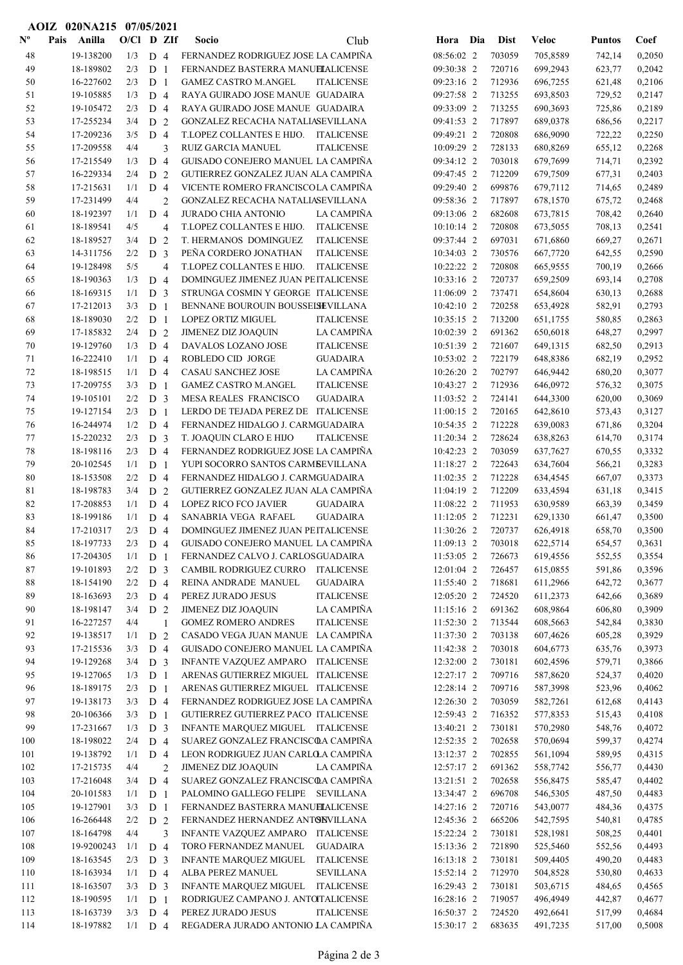|                           | AOIZ 020NA215 07/05/2021 |              |                                  |                |                                                                         |                          |                  |                      |                  |                  |
|---------------------------|--------------------------|--------------|----------------------------------|----------------|-------------------------------------------------------------------------|--------------------------|------------------|----------------------|------------------|------------------|
| $\mathbf{N}^{\mathbf{o}}$ | Pais<br>Anilla           | $O/Cl$ D ZIf |                                  |                | Club<br>Socio                                                           | Hora Dia                 | Dist             | <b>Veloc</b>         | <b>Puntos</b>    | Coef             |
| 48                        | 19-138200                | 1/3          | D <sub>4</sub>                   |                | FERNANDEZ RODRIGUEZ JOSE LA CAMPIÑA                                     | 08:56:02 2               | 703059           | 705,8589             | 742,14           | 0,2050           |
| 49                        | 18-189802                | 2/3          | D <sub>1</sub>                   |                | FERNANDEZ BASTERRA MANUELALICENSE                                       | 09:30:38 2               | 720716           | 699,2943             | 623,77           | 0,2042           |
| 50                        | 16-227602                | 2/3          | D <sub>1</sub>                   |                | <b>GAMEZ CASTRO M.ANGEL</b><br><b>ITALICENSE</b>                        | 09:23:16 2               | 712936           | 696,7255             | 621,48           | 0,2106           |
| 51                        | 19-105885                | 1/3          | D <sub>4</sub>                   |                | RAYA GUIRADO JOSE MANUE GUADAIRA                                        | 09:27:58 2               | 713255           | 693,8503             | 729,52           | 0,2147           |
| 52                        | 19-105472                | 2/3          | D <sub>4</sub>                   |                | RAYA GUIRADO JOSE MANUE GUADAIRA                                        | 09:33:09 2               | 713255           | 690,3693             | 725,86           | 0,2189           |
| 53                        | 17-255234                | 3/4          | D <sub>2</sub>                   |                | GONZALEZ RECACHA NATALIASEVILLANA                                       | 09:41:53 2               | 717897           | 689,0378             | 686,56           | 0,2217           |
| 54                        | 17-209236                | 3/5          | D <sub>4</sub>                   |                | T.LOPEZ COLLANTES E HIJO.<br><b>ITALICENSE</b>                          | 09:49:21 2               | 720808           | 686,9090             | 722,22           | 0,2250           |
| 55                        | 17-209558                | 4/4          |                                  | 3              | <b>RUIZ GARCIA MANUEL</b><br><b>ITALICENSE</b>                          | 10:09:29 2               | 728133           | 680,8269             | 655,12           | 0,2268           |
| 56                        | 17-215549                | 1/3          | D <sub>4</sub>                   |                | GUISADO CONEJERO MANUEL LA CAMPIÑA                                      | 09:34:12 2               | 703018           | 679,7699             | 714,71           | 0,2392           |
| 57                        | 16-229334                | 2/4          | D <sub>2</sub>                   |                | GUTIERREZ GONZALEZ JUAN ALA CAMPIÑA                                     | 09:47:45 2               | 712209           | 679,7509             | 677,31           | 0,2403           |
| 58<br>59                  | 17-215631                | 1/1<br>4/4   | D <sub>4</sub>                   |                | VICENTE ROMERO FRANCISCOLA CAMPIÑA                                      | 09:29:40 2<br>09:58:36 2 | 699876           | 679,7112             | 714,65           | 0,2489           |
| 60                        | 17-231499<br>18-192397   | 1/1          | D <sub>4</sub>                   | $\overline{c}$ | GONZALEZ RECACHA NATALIASEVILLANA<br>JURADO CHIA ANTONIO<br>LA CAMPIÑA  | 09:13:06 2               | 717897<br>682608 | 678,1570<br>673,7815 | 675,72<br>708,42 | 0,2468<br>0,2640 |
| 61                        | 18-189541                | 4/5          |                                  | $\overline{4}$ | T.LOPEZ COLLANTES E HIJO.<br><b>ITALICENSE</b>                          | 10:10:14 2               | 720808           | 673,5055             | 708,13           | 0,2541           |
| 62                        | 18-189527                | 3/4          | D <sub>2</sub>                   |                | T. HERMANOS DOMINGUEZ<br><b>ITALICENSE</b>                              | 09:37:44 2               | 697031           | 671,6860             | 669,27           | 0,2671           |
| 63                        | 14-311756                | 2/2          | D <sub>3</sub>                   |                | PEÑA CORDERO JONATHAN<br><b>ITALICENSE</b>                              | 10:34:03 2               | 730576           | 667,7720             | 642,55           | 0,2590           |
| 64                        | 19-128498                | 5/5          |                                  | $\overline{4}$ | T.LOPEZ COLLANTES E HIJO.<br>ITALICENSE                                 | 10:22:22 2               | 720808           | 665,9555             | 700,19           | 0,2666           |
| 65                        | 18-190363                | 1/3          | D <sub>4</sub>                   |                | DOMINGUEZ JIMENEZ JUAN PEITALICENSE                                     | 10:33:16 2               | 720737           | 659,2509             | 693,14           | 0,2708           |
| 66                        | 18-169315                | 1/1          | D <sub>3</sub>                   |                | STRUNGA COSMIN Y GEORGE ITALICENSE                                      | 11:06:09 2               | 737471           | 654,8604             | 630,13           | 0,2688           |
| 67                        | 17-212013                | 3/3          | D <sub>1</sub>                   |                | BENNANE BOUROUIN BOUSSEISEVILLANA                                       | 10:42:10 2               | 720258           | 653,4928             | 582,91           | 0,2793           |
| 68                        | 18-189030                | 2/2          | D <sub>1</sub>                   |                | LOPEZ ORTIZ MIGUEL<br><b>ITALICENSE</b>                                 | 10:35:15 2               | 713200           | 651,1755             | 580,85           | 0,2863           |
| 69                        | 17-185832                | 2/4          | D <sub>2</sub>                   |                | JIMENEZ DIZ JOAQUIN<br>LA CAMPIÑA                                       | 10:02:39 2               | 691362           | 650,6018             | 648,27           | 0,2997           |
| 70                        | 19-129760                | 1/3          | D <sub>4</sub>                   |                | DAVALOS LOZANO JOSE<br><b>ITALICENSE</b>                                | 10:51:39 2               | 721607           | 649,1315             | 682,50           | 0,2913           |
| 71                        | 16-222410                | 1/1          | D <sub>4</sub>                   |                | ROBLEDO CID JORGE<br><b>GUADAIRA</b>                                    | 10:53:02 2               | 722179           | 648,8386             | 682,19           | 0,2952           |
| 72                        | 18-198515                | 1/1          | D <sub>4</sub>                   |                | CASAU SANCHEZ JOSE<br>LA CAMPIÑA                                        | 10:26:20 2               | 702797           | 646,9442             | 680,20           | 0,3077           |
| 73                        | 17-209755                | 3/3          | D <sub>1</sub>                   |                | <b>GAMEZ CASTRO M.ANGEL</b><br><b>ITALICENSE</b>                        | 10:43:27 2               | 712936           | 646,0972             | 576,32           | 0,3075           |
| 74                        | 19-105101                | 2/2          | D <sub>3</sub>                   |                | MESA REALES FRANCISCO<br><b>GUADAIRA</b>                                | 11:03:52 2               | 724141           | 644,3300             | 620,00           | 0,3069           |
| 75                        | 19-127154                | 2/3          | D <sub>1</sub>                   |                | LERDO DE TEJADA PEREZ DE ITALICENSE                                     | 11:00:15 2               | 720165           | 642,8610             | 573,43           | 0,3127           |
| 76                        | 16-244974                | 1/2          | D <sub>4</sub>                   |                | FERNANDEZ HIDALGO J. CARMGUADAIRA                                       | 10:54:35 2               | 712228           | 639,0083             | 671,86           | 0,3204           |
| 77                        | 15-220232                | 2/3          | D <sub>3</sub>                   |                | T. JOAQUIN CLARO E HIJO<br><b>ITALICENSE</b>                            | 11:20:34 2               | 728624           | 638,8263             | 614,70           | 0,3174           |
| 78                        | 18-198116                | 2/3          | D <sub>4</sub>                   |                | FERNANDEZ RODRIGUEZ JOSE LA CAMPIÑA                                     | 10:42:23 2               | 703059           | 637,7627             | 670,55           | 0,3332           |
| 79                        | 20-102545                | 1/1          | D <sub>1</sub>                   |                | YUPI SOCORRO SANTOS CARMBEVILLANA                                       | 11:18:27 2               | 722643           | 634,7604             | 566,21           | 0,3283           |
| 80                        | 18-153508                | 2/2          | D <sub>4</sub>                   |                | FERNANDEZ HIDALGO J. CARMGUADAIRA                                       | 11:02:35 2               | 712228           | 634,4545             | 667,07           | 0,3373           |
| 81<br>82                  | 18-198783<br>17-208853   | 3/4<br>1/1   | D <sub>2</sub><br>D <sub>4</sub> |                | GUTIERREZ GONZALEZ JUAN ALA CAMPIÑA<br><b>LOPEZ RICO FCO JAVIER</b>     | 11:04:19 2<br>11:08:22 2 | 712209           | 633,4594<br>630,9589 | 631,18           | 0,3415<br>0,3459 |
| 83                        | 18-199186                | 1/1          | D <sub>4</sub>                   |                | <b>GUADAIRA</b><br>SANABRIA VEGA RAFAEL<br><b>GUADAIRA</b>              | 11:12:05 2               | 711953<br>712231 | 629,1330             | 663,39<br>661,47 | 0,3500           |
| 84                        | 17-210317                | 2/3          | D <sub>4</sub>                   |                | DOMINGUEZ JIMENEZ JUAN PEITALICENSE                                     | 11:30:26 2               | 720737           | 626,4918             | 658,70           | 0,3500           |
| 85                        | 18-197733                | 2/3          | D <sub>4</sub>                   |                | GUISADO CONEJERO MANUEL LA CAMPIÑA                                      | 11:09:13 2               | 703018           | 622,5714             | 654,57           | 0,3631           |
| 86                        | 17-204305                | 1/1          | D <sub>1</sub>                   |                | FERNANDEZ CALVO J. CARLOSGUADAIRA                                       | 11:53:05 2               | 726673           | 619,4556             | 552,55           | 0,3554           |
| 87                        | 19-101893                | 2/2          | D <sub>3</sub>                   |                | CAMBIL RODRIGUEZ CURRO<br>ITALICENSE                                    | 12:01:04 2               | 726457           | 615,0855             | 591,86           | 0,3596           |
| 88                        | 18-154190                | 2/2          | D <sub>4</sub>                   |                | REINA ANDRADE MANUEL<br><b>GUADAIRA</b>                                 | 11:55:40 2               | 718681           | 611,2966             | 642,72           | 0,3677           |
| 89                        | 18-163693                | 2/3          | D <sub>4</sub>                   |                | <b>ITALICENSE</b><br>PEREZ JURADO JESUS                                 | 12:05:20 2               | 724520           | 611,2373             | 642,66           | 0,3689           |
| 90                        | 18-198147                | 3/4          | D <sub>2</sub>                   |                | LA CAMPIÑA<br>JIMENEZ DIZ JOAQUIN                                       | 11:15:16 2               | 691362           | 608,9864             | 606,80           | 0,3909           |
| 91                        | 16-227257                | 4/4          |                                  | 1              | <b>GOMEZ ROMERO ANDRES</b><br><b>ITALICENSE</b>                         | 11:52:30 2               | 713544           | 608,5663             | 542,84           | 0,3830           |
| 92                        | 19-138517                | 1/1          | D <sub>2</sub>                   |                | CASADO VEGA JUAN MANUE LA CAMPIÑA                                       | 11:37:30 2               | 703138           | 607,4626             | 605,28           | 0,3929           |
| 93                        | 17-215536                | 3/3          | D <sub>4</sub>                   |                | GUISADO CONEJERO MANUEL LA CAMPIÑA                                      | 11:42:38 2               | 703018           | 604,6773             | 635,76           | 0,3973           |
| 94                        | 19-129268                | 3/4          | D <sub>3</sub>                   |                | INFANTE VAZQUEZ AMPARO ITALICENSE                                       | 12:32:00 2               | 730181           | 602,4596             | 579,71           | 0,3866           |
| 95                        | 19-127065                | 1/3          | D <sub>1</sub>                   |                | ARENAS GUTIERREZ MIGUEL ITALICENSE                                      | 12:27:17 2               | 709716           | 587,8620             | 524,37           | 0,4020           |
| 96                        | 18-189175                | 2/3          | D <sub>1</sub>                   |                | ARENAS GUTIERREZ MIGUEL ITALICENSE                                      | 12:28:14 2               | 709716           | 587,3998             | 523,96           | 0,4062           |
| 97                        | 19-138173                | 3/3          | D <sub>4</sub>                   |                | FERNANDEZ RODRIGUEZ JOSE LA CAMPIÑA                                     | 12:26:30 2               | 703059           | 582,7261             | 612,68           | 0,4143           |
| 98                        | 20-106366                | 3/3          | D <sub>1</sub>                   |                | GUTIERREZ GUTIERREZ PACO ITALICENSE                                     | 12:59:43 2               | 716352           | 577,8353             | 515,43           | 0,4108           |
| 99<br>100                 | 17-231667<br>18-198022   | 1/3<br>2/4   | D <sub>3</sub><br>D <sub>4</sub> |                | INFANTE MARQUEZ MIGUEL ITALICENSE<br>SUAREZ GONZALEZ FRANCISCOA CAMPIÑA | 13:40:21 2<br>12:52:35 2 | 730181<br>702658 | 570,2980<br>570,0694 | 548,76           | 0,4072           |
| 101                       | 19-138792                | 1/1          | D <sub>4</sub>                   |                | LEON RODRIGUEZ JUAN CARLOLA CAMPIÑA                                     | 13:12:37 2               | 702855           | 561,1094             | 599,37<br>589,95 | 0,4274<br>0,4315 |
| 102                       | 17-215735                | 4/4          |                                  | $\overline{c}$ | <b>JIMENEZ DIZ JOAQUIN</b><br>LA CAMPIÑA                                | 12:57:17 2               | 691362           | 558,7742             | 556,77           | 0,4430           |
| 103                       | 17-216048                | 3/4          | D <sub>4</sub>                   |                | SUAREZ GONZALEZ FRANCISCOA CAMPIÑA                                      | 13:21:51 2               | 702658           | 556,8475             | 585,47           | 0,4402           |
| 104                       | 20-101583                | 1/1          | D <sub>1</sub>                   |                | PALOMINO GALLEGO FELIPE SEVILLANA                                       | 13:34:47 2               | 696708           | 546,5305             | 487,50           | 0,4483           |
| 105                       | 19-127901                | 3/3          | D <sub>1</sub>                   |                | FERNANDEZ BASTERRA MANUELALICENSE                                       | 14:27:16 2               | 720716           | 543,0077             | 484,36           | 0,4375           |
| 106                       | 16-266448                | 2/2          | D <sub>2</sub>                   |                | FERNANDEZ HERNANDEZ ANTONVILLANA                                        | 12:45:36 2               | 665206           | 542,7595             | 540,81           | 0,4785           |
| 107                       | 18-164798                | 4/4          |                                  | 3              | INFANTE VAZQUEZ AMPARO ITALICENSE                                       | 15:22:24 2               | 730181           | 528,1981             | 508,25           | 0,4401           |
| 108                       | 19-9200243               | 1/1          | D <sub>4</sub>                   |                | <b>GUADAIRA</b><br>TORO FERNANDEZ MANUEL                                | 15:13:36 2               | 721890           | 525,5460             | 552,56           | 0,4493           |
| 109                       | 18-163545                | 2/3          | D <sub>3</sub>                   |                | <b>ITALICENSE</b><br><b>INFANTE MARQUEZ MIGUEL</b>                      | 16:13:18 2               | 730181           | 509,4405             | 490,20           | 0,4483           |
| 110                       | 18-163934                | 1/1          | D 4                              |                | ALBA PEREZ MANUEL<br><b>SEVILLANA</b>                                   | 15:52:14 2               | 712970           | 504,8528             | 530,80           | 0,4633           |
| 111                       | 18-163507                | 3/3          | D <sub>3</sub>                   |                | INFANTE MARQUEZ MIGUEL ITALICENSE                                       | 16:29:43 2               | 730181           | 503,6715             | 484,65           | 0,4565           |
| 112                       | 18-190595                | 1/1          | D <sub>1</sub>                   |                | RODRIGUEZ CAMPANO J. ANTOTALICENSE                                      | 16:28:16 2               | 719057           | 496,4949             | 442,87           | 0,4677           |
| 113                       | 18-163739                | 3/3          | D <sub>4</sub>                   |                | PEREZ JURADO JESUS<br><b>ITALICENSE</b>                                 | 16:50:37 2               | 724520           | 492,6641             | 517,99           | 0,4684           |
| 114                       | 18-197882                | $1/1$ D 4    |                                  |                | REGADERA JURADO ANTONIO LA CAMPIÑA                                      | 15:30:17 2               | 683635           | 491,7235             | 517,00           | 0,5008           |